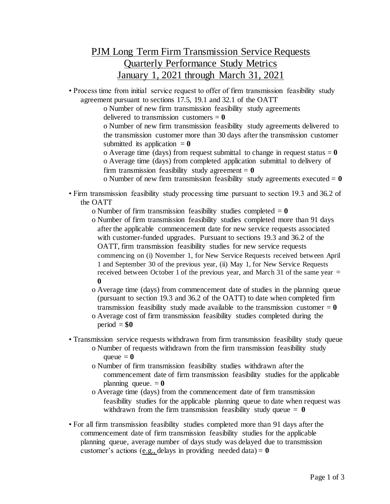## PJM Long Term Firm Transmission Service Requests Quarterly Performance Study Metrics January 1, 2021 through March 31, 2021

• Process time from initial service request to offer of firm transmission feasibility study agreement pursuant to sections 17.5, 19.1 and 32.1 of the OATT

> o Number of new firm transmission feasibility study agreements delivered to transmission customers = **0**

o Number of new firm transmission feasibility study agreements delivered to the transmission customer more than 30 days after the transmission customer submitted its application  $= 0$ 

o Average time (days) from request submittal to change in request status  $= 0$ o Average time (days) from completed application submittal to delivery of firm transmission feasibility study agreement  $= 0$ 

o Number of new firm transmission feasibility study agreements executed  $= 0$ 

• Firm transmission feasibility study processing time pursuant to section 19.3 and 36.2 of the OATT

o Number of firm transmission feasibility studies completed = **0**

- o Number of firm transmission feasibility studies completed more than 91 days after the applicable commencement date for new service requests associated with customer-funded upgrades. Pursuant to sections 19.3 and 36.2 of the OATT, firm transmission feasibility studies for new service requests commencing on (i) November 1, for New Service Requests received between April 1 and September 30 of the previous year, (ii) May 1, for New Service Requests received between October 1 of the previous year, and March 31 of the same year  $=$ **0**
- o Average time (days) from commencement date of studies in the planning queue (pursuant to section 19.3 and 36.2 of the OATT) to date when completed firm transmission feasibility study made available to the transmission customer  $= 0$
- o Average cost of firm transmission feasibility studies completed during the  $period = $0$
- Transmission service requests withdrawn from firm transmission feasibility study queue
	- o Number of requests withdrawn from the firm transmission feasibility study queue  $= 0$
	- o Number of firm transmission feasibility studies withdrawn after the commencement date of firm transmission feasibility studies for the applicable planning queue.  $= 0$
	- o Average time (days) from the commencement date of firm transmission feasibility studies for the applicable planning queue to date when request was withdrawn from the firm transmission feasibility study queue  $= 0$
- For all firm transmission feasibility studies completed more than 91 days after the commencement date of firm transmission feasibility studies for the applicable planning queue, average number of days study was delayed due to transmission customer's actions (e.g., delays in providing needed data) =  $\mathbf{0}$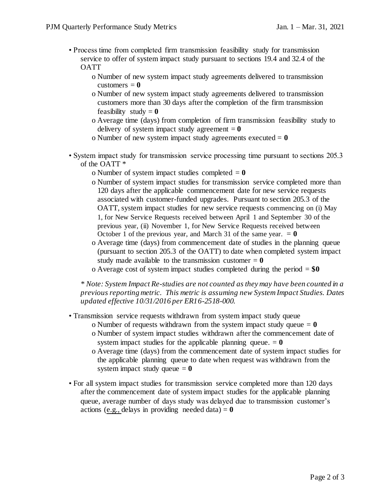- Process time from completed firm transmission feasibility study for transmission service to offer of system impact study pursuant to sections 19.4 and 32.4 of the **OATT** 
	- o Number of new system impact study agreements delivered to transmission customers  $= 0$
	- o Number of new system impact study agreements delivered to transmission customers more than 30 days after the completion of the firm transmission feasibility study  $= 0$
	- o Average time (days) from completion of firm transmission feasibility study to delivery of system impact study agreement  $= 0$
	- o Number of new system impact study agreements executed  $= 0$
- System impact study for transmission service processing time pursuant to sections 205.3 of the OATT \*
	- o Number of system impact studies completed  $= 0$
	- o Number of system impact studies for transmission service completed more than 120 days after the applicable commencement date for new service requests associated with customer-funded upgrades. Pursuant to section 205.3 of the OATT, system impact studies for new service requests commencing on (i) May 1, for New Service Requests received between April 1 and September 30 of the previous year, (ii) November 1, for New Service Requests received between October 1 of the previous year, and March 31 of the same year.  $= 0$
	- o Average time (days) from commencement date of studies in the planning queue (pursuant to section 205.3 of the OATT) to date when completed system impact study made available to the transmission customer  $= 0$
	- o Average cost of system impact studies completed during the period = **\$0**

*\* Note: System Impact Re-studies are not counted as they may have been counted in a previous reporting metric. This metric is assuming new System Impact Studies. Dates updated effective 10/31/2016 per ER16-2518-000.*

- Transmission service requests withdrawn from system impact study queue
	- o Number of requests withdrawn from the system impact study queue  $= 0$
	- o Number of system impact studies withdrawn after the commencement date of system impact studies for the applicable planning queue.  $= 0$
	- o Average time (days) from the commencement date of system impact studies for the applicable planning queue to date when request was withdrawn from the system impact study queue  $= 0$
- For all system impact studies for transmission service completed more than 120 days after the commencement date of system impact studies for the applicable planning queue, average number of days study was delayed due to transmission customer's actions (e.g., delays in providing needed data)  $= 0$